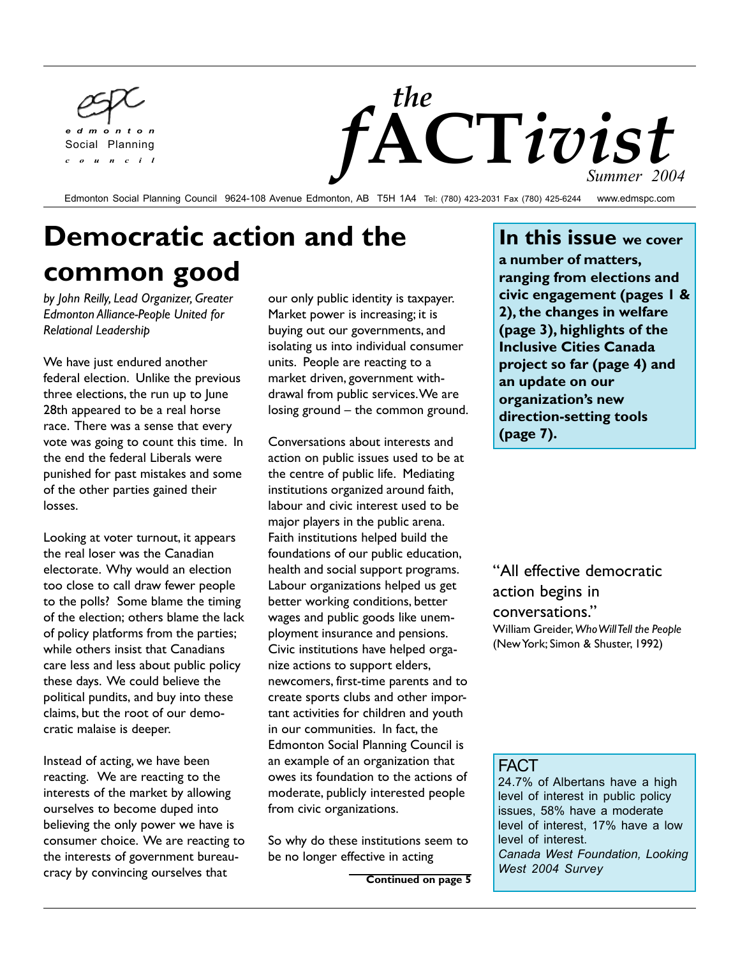



Edmonton Social Planning Council 9624-108 Avenue Edmonton, AB T5H 1A4 Tel: (780) 423-2031 Fax (780) 425-6244 www.edmspc.com

# **Democratic action and the common good**

*by John Reilly, Lead Organizer, Greater Edmonton Alliance-People United for Relational Leadership*

We have just endured another federal election. Unlike the previous three elections, the run up to June 28th appeared to be a real horse race. There was a sense that every vote was going to count this time. In the end the federal Liberals were punished for past mistakes and some of the other parties gained their losses.

Looking at voter turnout, it appears the real loser was the Canadian electorate. Why would an election too close to call draw fewer people to the polls? Some blame the timing of the election; others blame the lack of policy platforms from the parties; while others insist that Canadians care less and less about public policy these days. We could believe the political pundits, and buy into these claims, but the root of our democratic malaise is deeper.

Instead of acting, we have been reacting. We are reacting to the interests of the market by allowing ourselves to become duped into believing the only power we have is consumer choice. We are reacting to the interests of government bureaucracy by convincing ourselves that

**FACT** 

our only public identity is taxpayer. Market power is increasing; it is buying out our governments, and isolating us into individual consumer units. People are reacting to a market driven, government withdrawal from public services. We are losing ground  $-$  the common ground.

Conversations about interests and action on public issues used to be at the centre of public life. Mediating institutions organized around faith, labour and civic interest used to be major players in the public arena. Faith institutions helped build the foundations of our public education, health and social support programs. Labour organizations helped us get better working conditions, better wages and public goods like unemployment insurance and pensions. Civic institutions have helped organize actions to support elders, newcomers, first-time parents and to create sports clubs and other important activities for children and youth in our communities. In fact, the Edmonton Social Planning Council is an example of an organization that owes its foundation to the actions of moderate, publicly interested people from civic organizations.

So why do these institutions seem to be no longer effective in acting

**Continued on page 5**

**In this issue we cover a number of matters, ranging from elections and civic engagement (pages 1 & 2), the changes in welfare (page 3), highlights of the Inclusive Cities Canada project so far (page 4) and an update on our organizationís new direction-setting tools (page 7).**

"All effective democratic action begins in conversations." William Greider, *Who Will Tell the People* (New York; Simon & Shuster, 1992)

### FACT

24.7% of Albertans have a high level of interest in public policy issues, 58% have a moderate level of interest, 17% have a low level of interest. *Canada West Foundation, Looking West 2004 Survey*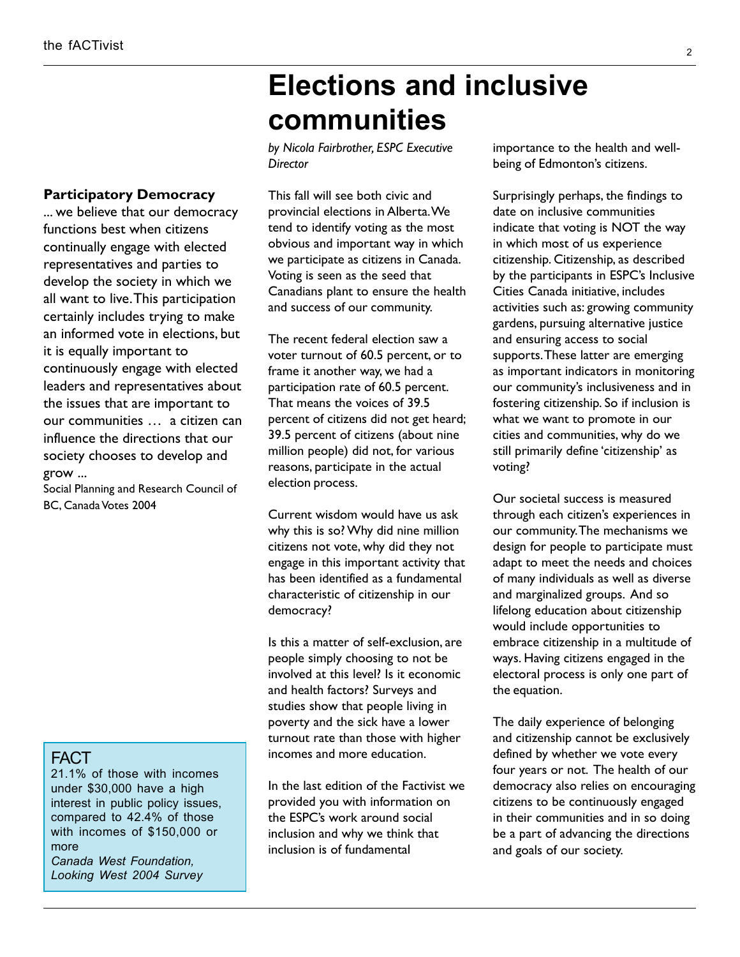#### **Participatory Democracy**

... we believe that our democracy functions best when citizens continually engage with elected representatives and parties to develop the society in which we all want to live. This participation certainly includes trying to make an informed vote in elections, but it is equally important to continuously engage with elected leaders and representatives about the issues that are important to our communities ... a citizen can influence the directions that our society chooses to develop and grow ...

Social Planning and Research Council of BC, Canada Votes 2004

#### FACT

21.1% of those with incomes under \$30,000 have a high interest in public policy issues, compared to 42.4% of those with incomes of \$150,000 or more *Canada West Foundation,*

*Looking West 2004 Survey*

# **Elections and inclusive communities**

*by Nicola Fairbrother, ESPC Executive Director*

This fall will see both civic and provincial elections in Alberta. We tend to identify voting as the most obvious and important way in which we participate as citizens in Canada. Voting is seen as the seed that Canadians plant to ensure the health and success of our community.

The recent federal election saw a voter turnout of 60.5 percent, or to frame it another way, we had a participation rate of 60.5 percent. That means the voices of 39.5 percent of citizens did not get heard; 39.5 percent of citizens (about nine million people) did not, for various reasons, participate in the actual election process.

Current wisdom would have us ask why this is so? Why did nine million citizens not vote, why did they not engage in this important activity that has been identified as a fundamental characteristic of citizenship in our democracy?

Is this a matter of self-exclusion, are people simply choosing to not be involved at this level? Is it economic and health factors? Surveys and studies show that people living in poverty and the sick have a lower turnout rate than those with higher incomes and more education.

In the last edition of the Factivist we provided you with information on the ESPC's work around social inclusion and why we think that inclusion is of fundamental

importance to the health and wellbeing of Edmonton's citizens.

Surprisingly perhaps, the findings to date on inclusive communities indicate that voting is NOT the way in which most of us experience citizenship. Citizenship, as described by the participants in ESPC's Inclusive Cities Canada initiative, includes activities such as: growing community gardens, pursuing alternative justice and ensuring access to social supports. These latter are emerging as important indicators in monitoring our community's inclusiveness and in fostering citizenship. So if inclusion is what we want to promote in our cities and communities, why do we still primarily define 'citizenship' as voting?

Our societal success is measured through each citizen's experiences in our community. The mechanisms we design for people to participate must adapt to meet the needs and choices of many individuals as well as diverse and marginalized groups. And so lifelong education about citizenship would include opportunities to embrace citizenship in a multitude of ways. Having citizens engaged in the electoral process is only one part of the equation.

The daily experience of belonging and citizenship cannot be exclusively defined by whether we vote every four years or not. The health of our democracy also relies on encouraging citizens to be continuously engaged in their communities and in so doing be a part of advancing the directions and goals of our society.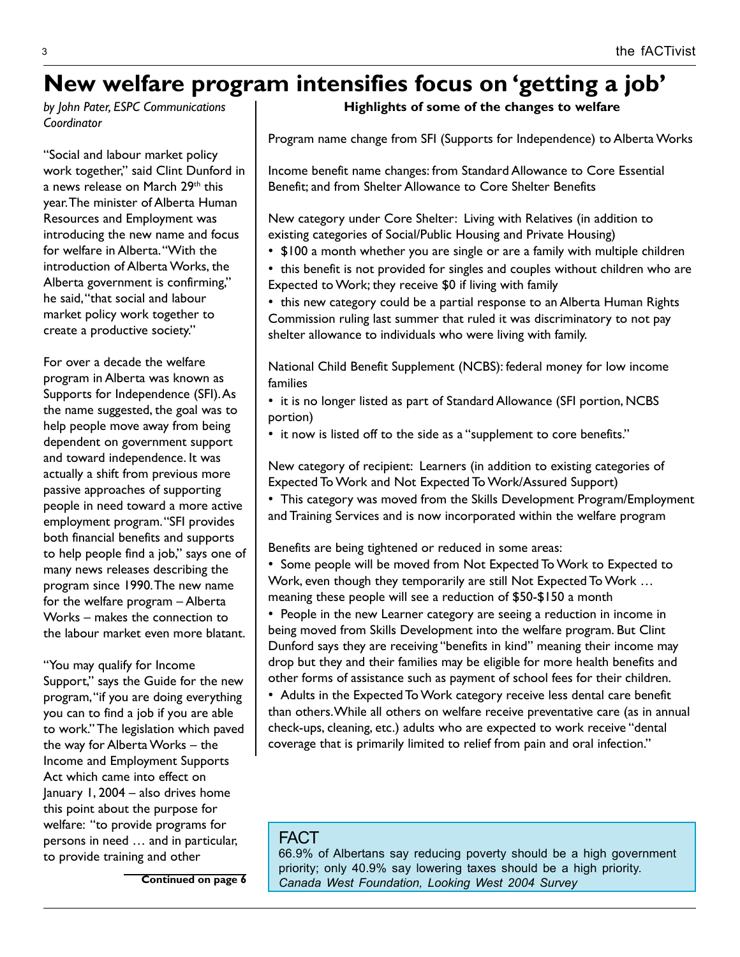# New welfare program intensifies focus on 'getting a job'

*by John Pater, ESPC Communications Coordinator*

"Social and labour market policy work together," said Clint Dunford in a news release on March 29th this year. The minister of Alberta Human Resources and Employment was introducing the new name and focus for welfare in Alberta. "With the introduction of Alberta Works, the Alberta government is confirming," he said, "that social and labour market policy work together to create a productive society."

For over a decade the welfare program in Alberta was known as Supports for Independence (SFI). As the name suggested, the goal was to help people move away from being dependent on government support and toward independence. It was actually a shift from previous more passive approaches of supporting people in need toward a more active employment program. "SFI provides both financial benefits and supports to help people find a job," says one of many news releases describing the program since 1990. The new name for the welfare program  $-$  Alberta Works - makes the connection to the labour market even more blatant.

"You may qualify for Income Support," says the Guide for the new program, "if you are doing everything you can to find a job if you are able to work." The legislation which paved the way for Alberta Works  $-$  the Income and Employment Supports Act which came into effect on January 1, 2004  $-$  also drives home this point about the purpose for welfare: "to provide programs for persons in need ... and in particular, to provide training and other

**Highlights of some of the changes to welfare**

Program name change from SFI (Supports for Independence) to Alberta Works

Income benefit name changes: from Standard Allowance to Core Essential Benefit; and from Shelter Allowance to Core Shelter Benefits

New category under Core Shelter: Living with Relatives (in addition to existing categories of Social/Public Housing and Private Housing)

• \$100 a month whether you are single or are a family with multiple children

• this benefit is not provided for singles and couples without children who are Expected to Work; they receive \$0 if living with family

• this new category could be a partial response to an Alberta Human Rights Commission ruling last summer that ruled it was discriminatory to not pay shelter allowance to individuals who were living with family.

National Child Benefit Supplement (NCBS): federal money for low income families

- it is no longer listed as part of Standard Allowance (SFI portion, NCBS portion)
- it now is listed off to the side as a "supplement to core benefits."

New category of recipient: Learners (in addition to existing categories of Expected To Work and Not Expected To Work/Assured Support)

• This category was moved from the Skills Development Program/Employment and Training Services and is now incorporated within the welfare program

Benefits are being tightened or reduced in some areas:

• Some people will be moved from Not Expected To Work to Expected to Work, even though they temporarily are still Not Expected To Work ... meaning these people will see a reduction of \$50-\$150 a month

• People in the new Learner category are seeing a reduction in income in being moved from Skills Development into the welfare program. But Clint Dunford says they are receiving "benefits in kind" meaning their income may drop but they and their families may be eligible for more health benefits and other forms of assistance such as payment of school fees for their children.

• Adults in the Expected To Work category receive less dental care benefit than others. While all others on welfare receive preventative care (as in annual check-ups, cleaning, etc.) adults who are expected to work receive "dental coverage that is primarily limited to relief from pain and oral infection."

#### FACT

66.9% of Albertans say reducing poverty should be a high government priority; only 40.9% say lowering taxes should be a high priority. **Continued on page 6** *Canada West Foundation, Looking West 2004 Survey*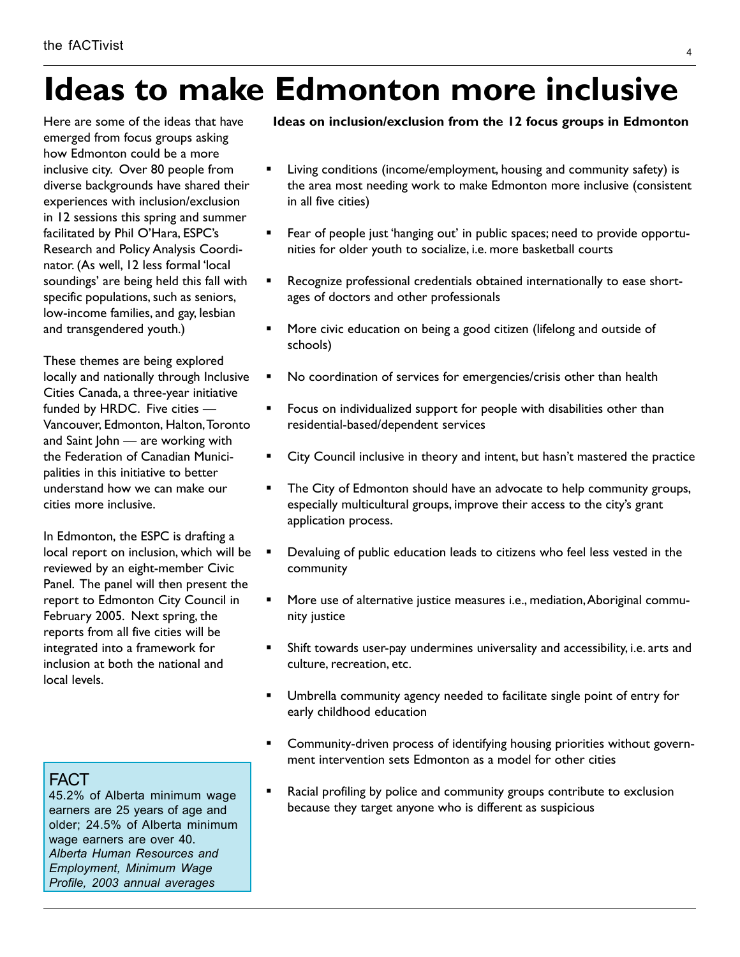# **Ideas to make Edmonton more inclusive**

Here are some of the ideas that have emerged from focus groups asking how Edmonton could be a more inclusive city. Over 80 people from diverse backgrounds have shared their experiences with inclusion/exclusion in 12 sessions this spring and summer facilitated by Phil O'Hara, ESPC's Research and Policy Analysis Coordinator. (As well, 12 less formal 'local soundings' are being held this fall with specific populations, such as seniors, low-income families, and gay, lesbian and transgendered youth.)

These themes are being explored locally and nationally through Inclusive Cities Canada, a three-year initiative funded by HRDC. Five cities  $-$ Vancouver, Edmonton, Halton, Toronto and Saint John – are working with the Federation of Canadian Municipalities in this initiative to better understand how we can make our cities more inclusive.

In Edmonton, the ESPC is drafting a local report on inclusion, which will be reviewed by an eight-member Civic Panel. The panel will then present the report to Edmonton City Council in February 2005. Next spring, the reports from all five cities will be integrated into a framework for inclusion at both the national and local levels.

### FACT

45.2% of Alberta minimum wage earners are 25 years of age and older; 24.5% of Alberta minimum wage earners are over 40. *Alberta Human Resources and Employment, Minimum Wage Profile, 2003 annual averages*

#### **Ideas on inclusion/exclusion from the 12 focus groups in Edmonton**

- Living conditions (income/employment, housing and community safety) is the area most needing work to make Edmonton more inclusive (consistent in all five cities)
- Fear of people just 'hanging out' in public spaces; need to provide opportunities for older youth to socialize, i.e. more basketball courts
- Recognize professional credentials obtained internationally to ease shortages of doctors and other professionals
- More civic education on being a good citizen (lifelong and outside of schools)
- No coordination of services for emergencies/crisis other than health
- Focus on individualized support for people with disabilities other than residential-based/dependent services
- City Council inclusive in theory and intent, but hasn't mastered the practice
- The City of Edmonton should have an advocate to help community groups, especially multicultural groups, improve their access to the city's grant application process.
- Devaluing of public education leads to citizens who feel less vested in the community
- More use of alternative justice measures i.e., mediation, Aboriginal community justice
- Shift towards user-pay undermines universality and accessibility, i.e. arts and culture, recreation, etc.
- Umbrella community agency needed to facilitate single point of entry for early childhood education
- ! Community-driven process of identifying housing priorities without government intervention sets Edmonton as a model for other cities
- Racial profiling by police and community groups contribute to exclusion because they target anyone who is different as suspicious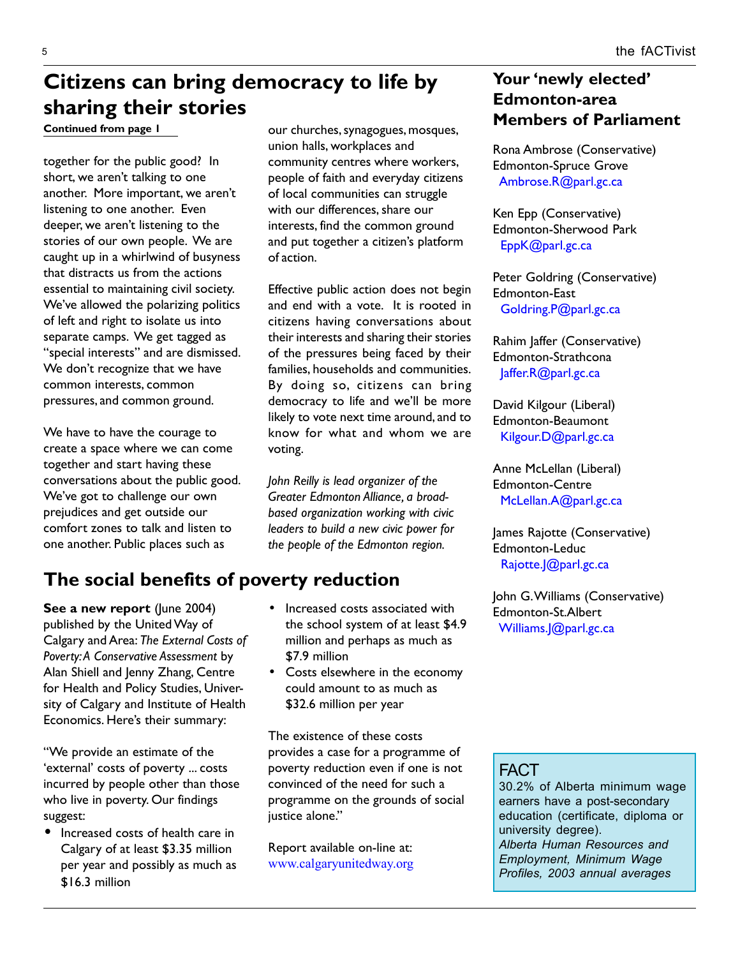# **Citizens can bring democracy to life by sharing their stories**

**Continued from page 1**

together for the public good? In short, we aren't talking to one another. More important, we aren't listening to one another. Even deeper, we aren't listening to the stories of our own people. We are caught up in a whirlwind of busyness that distracts us from the actions essential to maintaining civil society. We've allowed the polarizing politics of left and right to isolate us into separate camps. We get tagged as "special interests" and are dismissed. We don't recognize that we have common interests, common pressures, and common ground.

We have to have the courage to create a space where we can come together and start having these conversations about the public good. We've got to challenge our own prejudices and get outside our comfort zones to talk and listen to one another. Public places such as

**See a new report** (June 2004) published by the United Way of Calgary and Area: *The External Costs of Poverty: A Conservative Assessment* by Alan Shiell and Jenny Zhang, Centre for Health and Policy Studies, University of Calgary and Institute of Health Economics. Here's their summary:

"We provide an estimate of the 'external' costs of poverty ... costs incurred by people other than those who live in poverty. Our findings suggest:

• Increased costs of health care in Calgary of at least \$3.35 million per year and possibly as much as \$16.3 million

our churches, synagogues, mosques, union halls, workplaces and community centres where workers, people of faith and everyday citizens of local communities can struggle with our differences, share our interests, find the common ground and put together a citizenís platform of action.

Effective public action does not begin and end with a vote. It is rooted in citizens having conversations about their interests and sharing their stories of the pressures being faced by their families, households and communities. By doing so, citizens can bring democracy to life and we'll be more likely to vote next time around, and to know for what and whom we are voting.

*John Reilly is lead organizer of the Greater Edmonton Alliance, a broadbased organization working with civic leaders to build a new civic power for the people of the Edmonton region.*

## **The social benefits of poverty reduction**

- Increased costs associated with the school system of at least \$4.9 million and perhaps as much as \$7.9 million
- Costs elsewhere in the economy could amount to as much as \$32.6 million per year

The existence of these costs provides a case for a programme of poverty reduction even if one is not convinced of the need for such a programme on the grounds of social justice alone."

Report available on-line at: www.calgaryunitedway.org

## Your 'newly elected' **Edmonton-area Members of Parliament**

Rona Ambrose (Conservative) Edmonton-Spruce Grove Ambrose.R@parl.gc.ca

Ken Epp (Conservative) Edmonton-Sherwood Park EppK@parl.gc.ca

Peter Goldring (Conservative) Edmonton-East Goldring.P@parl.gc.ca

Rahim Jaffer (Conservative) Edmonton-Strathcona Jaffer.R@parl.gc.ca

David Kilgour (Liberal) Edmonton-Beaumont Kilgour.D@parl.gc.ca

Anne McLellan (Liberal) Edmonton-Centre McLellan.A@parl.gc.ca

James Rajotte (Conservative) Edmonton-Leduc Rajotte.J@parl.gc.ca

John G. Williams (Conservative) Edmonton-St.Albert Williams.J@parl.gc.ca

## FACT

30.2% of Alberta minimum wage earners have a post-secondary education (certificate, diploma or university degree). *Alberta Human Resources and Employment, Minimum Wage Profiles, 2003 annual averages*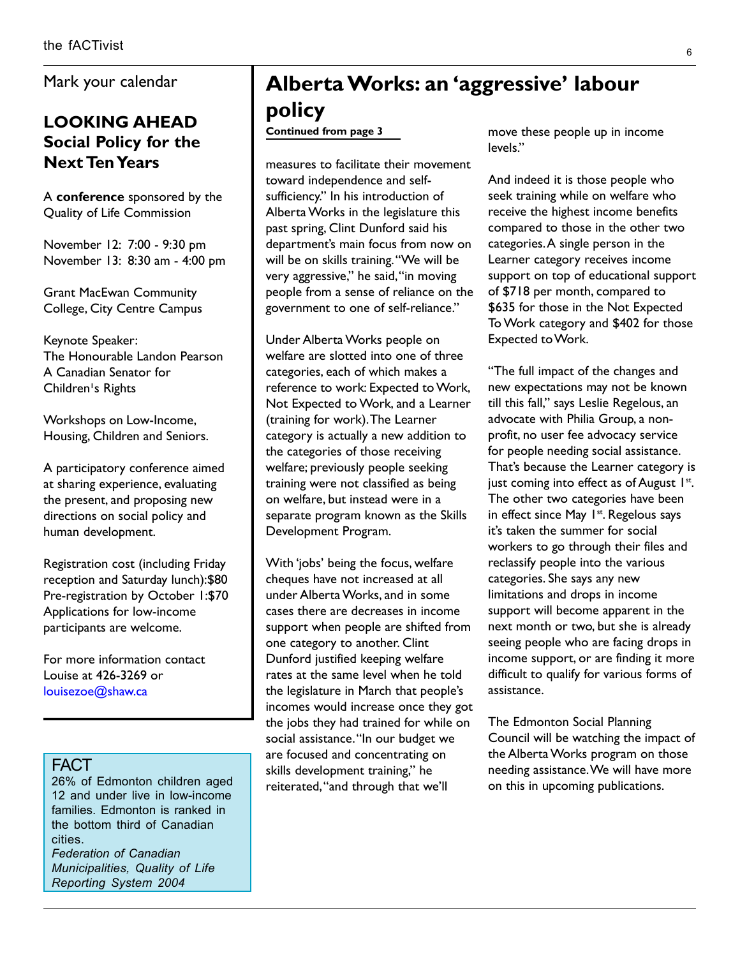Mark your calendar

## **LOOKING AHEAD Social Policy for the Next Ten Years**

A **conference** sponsored by the Quality of Life Commission

November 12: 7:00 - 9:30 pm November 13: 8:30 am - 4:00 pm

Grant MacEwan Community College, City Centre Campus

Keynote Speaker: The Honourable Landon Pearson A Canadian Senator for Children's Rights

Workshops on Low-Income, Housing, Children and Seniors.

A participatory conference aimed at sharing experience, evaluating the present, and proposing new directions on social policy and human development.

Registration cost (including Friday reception and Saturday lunch):\$80 Pre-registration by October 1:\$70 Applications for low-income participants are welcome.

For more information contact Louise at 426-3269 or louisezoe@shaw.ca

#### FACT

26% of Edmonton children aged 12 and under live in low-income families. Edmonton is ranked in the bottom third of Canadian cities.

*Federation of Canadian Municipalities, Quality of Life Reporting System 2004*

## Alberta Works: an 'aggressive' labour **policy**

#### **Continued from page 3**

measures to facilitate their movement toward independence and selfsufficiency." In his introduction of Alberta Works in the legislature this past spring, Clint Dunford said his department's main focus from now on will be on skills training. "We will be very aggressive," he said, "in moving people from a sense of reliance on the government to one of self-reliance."

Under Alberta Works people on welfare are slotted into one of three categories, each of which makes a reference to work: Expected to Work, Not Expected to Work, and a Learner (training for work). The Learner category is actually a new addition to the categories of those receiving welfare; previously people seeking training were not classified as being on welfare, but instead were in a separate program known as the Skills Development Program.

With 'jobs' being the focus, welfare cheques have not increased at all under Alberta Works, and in some cases there are decreases in income support when people are shifted from one category to another. Clint Dunford justified keeping welfare rates at the same level when he told the legislature in March that people's incomes would increase once they got the jobs they had trained for while on social assistance. "In our budget we are focused and concentrating on skills development training," he reiterated, "and through that we'll

move these people up in income levels."

And indeed it is those people who seek training while on welfare who receive the highest income benefits compared to those in the other two categories. A single person in the Learner category receives income support on top of educational support of \$718 per month, compared to \$635 for those in the Not Expected To Work category and \$402 for those Expected to Work.

"The full impact of the changes and new expectations may not be known till this fall," says Leslie Regelous, an advocate with Philia Group, a nonprofit, no user fee advocacy service for people needing social assistance. That's because the Learner category is just coming into effect as of August  $1st$ . The other two categories have been in effect since May 1<sup>st</sup>. Regelous says it's taken the summer for social workers to go through their files and reclassify people into the various categories. She says any new limitations and drops in income support will become apparent in the next month or two, but she is already seeing people who are facing drops in income support, or are finding it more difficult to qualify for various forms of assistance.

The Edmonton Social Planning Council will be watching the impact of the Alberta Works program on those needing assistance. We will have more on this in upcoming publications.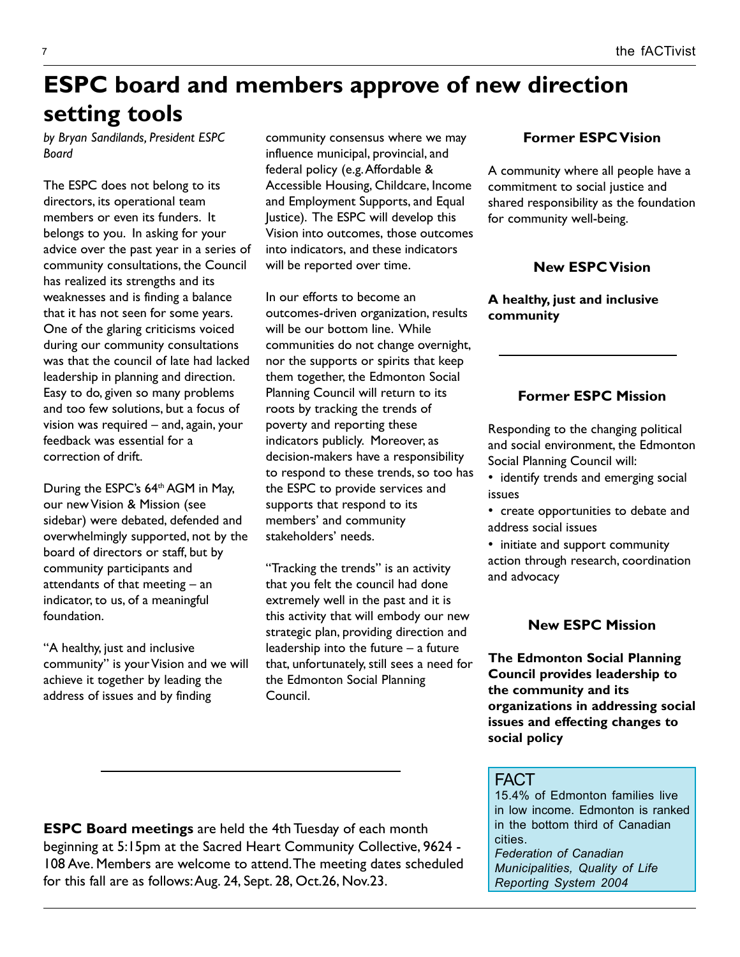# **ESPC board and members approve of new direction setting tools**

*by Bryan Sandilands, President ESPC Board*

The ESPC does not belong to its directors, its operational team members or even its funders. It belongs to you. In asking for your advice over the past year in a series of community consultations, the Council has realized its strengths and its weaknesses and is finding a balance that it has not seen for some years. One of the glaring criticisms voiced during our community consultations was that the council of late had lacked leadership in planning and direction. Easy to do, given so many problems and too few solutions, but a focus of vision was required  $-$  and, again, your feedback was essential for a correction of drift.

During the ESPC's 64<sup>th</sup> AGM in May, our new Vision & Mission (see sidebar) were debated, defended and overwhelmingly supported, not by the board of directors or staff, but by community participants and attendants of that meeting  $-$  an indicator, to us, of a meaningful foundation.

"A healthy, just and inclusive community" is your Vision and we will achieve it together by leading the address of issues and by finding

community consensus where we may influence municipal, provincial, and federal policy (e.g. Affordable & Accessible Housing, Childcare, Income and Employment Supports, and Equal Justice). The ESPC will develop this Vision into outcomes, those outcomes into indicators, and these indicators will be reported over time.

In our efforts to become an outcomes-driven organization, results will be our bottom line. While communities do not change overnight, nor the supports or spirits that keep them together, the Edmonton Social Planning Council will return to its roots by tracking the trends of poverty and reporting these indicators publicly. Moreover, as decision-makers have a responsibility to respond to these trends, so too has the ESPC to provide services and supports that respond to its members' and community stakeholdersí needs.

"Tracking the trends" is an activity that you felt the council had done extremely well in the past and it is this activity that will embody our new strategic plan, providing direction and leadership into the future  $-$  a future that, unfortunately, still sees a need for the Edmonton Social Planning Council.

#### **Former ESPC Vision**

A community where all people have a commitment to social justice and shared responsibility as the foundation for community well-being.

### **New ESPC Vision**

**A healthy, just and inclusive community**

### **Former ESPC Mission**

Responding to the changing political and social environment, the Edmonton Social Planning Council will:

- identify trends and emerging social issues
- create opportunities to debate and address social issues
- initiate and support community action through research, coordination and advocacy

#### **New ESPC Mission**

**The Edmonton Social Planning Council provides leadership to the community and its organizations in addressing social issues and effecting changes to social policy**

#### FACT

15.4% of Edmonton families live in low income. Edmonton is ranked in the bottom third of Canadian cities.

*Federation of Canadian Municipalities, Quality of Life Reporting System 2004*

**ESPC Board meetings** are held the 4th Tuesday of each month beginning at 5:15pm at the Sacred Heart Community Collective, 9624 - 108 Ave. Members are welcome to attend. The meeting dates scheduled for this fall are as follows: Aug. 24, Sept. 28, Oct.26, Nov.23.